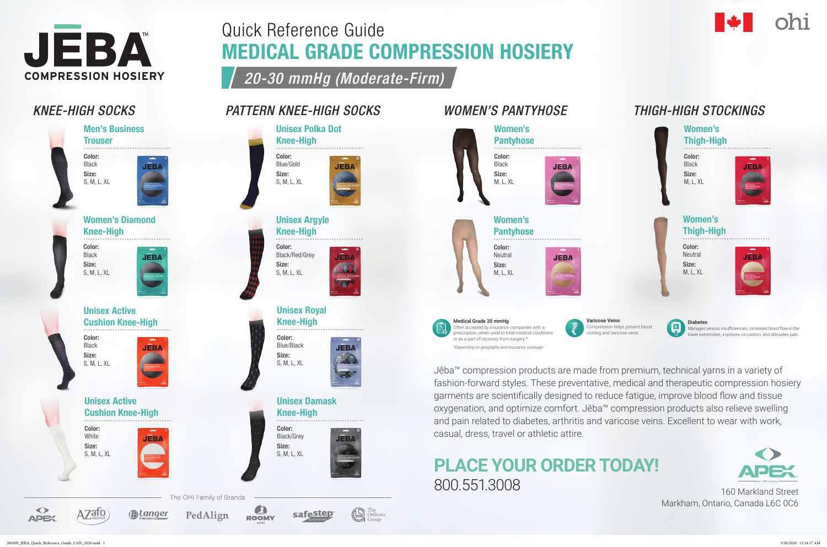

Quick Reference Guide

MEDICAL GRADE COMPRESSION HOSIERY

<sup>The</sup> Orthotic

*20-30 mmHg (Moderate-Firm)*

**JEBA** 

**JEBA** 

**JEBA** 

**JEBA** 

## *KNEE-HIGH SOCKS*







Unisex Active Cushion Knee-High Color:

Black Size: S, M, L, XL



Unisex Active Cushion Knee-High

Color: White Size: S, M, L, XL

 $AZafo$ 





*Alanger* 

**JEBA** 









Women's Diamond Knee-High

Color: Black Size: S, M, L, XL

## *WOMEN'S PANTYHOSE*

#### Women's Thigh-High

Color: **Neutral** Size: M, L, XL



. . . . . . . . . . . . . . .

## *THIGH-HIGH STOCKINGS*



### Women's Thigh-High

Color: Black Size: M, L, XL





Unisex Polka Dot

Knee-High

Color: Blue/Gold Size: S, M, L, XL

Unisex Damask

Knee-High



Color: Black/Grey Size: S, M, L, XL

Unisex Royal Knee-High

Color: Blue/Black Size: S, M, L, XL

Unisex Argyle Knee-High

Color: Black/Red/Grey

Size: S, M, L, XL

> or as a part of recovery from surgery.\* *\*Depending on geography and insurance coverage*

**Varicose Veins** Compression helps prevent blood clotting and varicose veins.



#### **Diabetes**

Manages venous insufficiencies, increases blood flow in the lower extremities, improves circulation, and alleviates pain.





Jēba™ compression products are made from premium, technical yarns in a variety of fashion-forward styles. These preventative, medical and therapeutic compression hosiery garments are scientifically designed to reduce fatigue, improve blood flow and tissue oxygenation, and optimize comfort. Jēba™ compression products also relieve swelling and pain related to diabetes, arthritis and varicose veins. Excellent to wear with work, casual, dress, travel or athletic attire.

# **PLACE YOUR ORDER TODAY!** 800.551.3008 160 Markland Street

Markham, Ontario, Canada L6C 0C6

*PATTERN KNEE-HIGH SOCKS*

200309\_JEBA\_Quick\_Reference\_Guide\_CAN\_2020.indd 1 3/20/2020 11:14:17 AM

 $\blacklozenge$ 

**APEX**